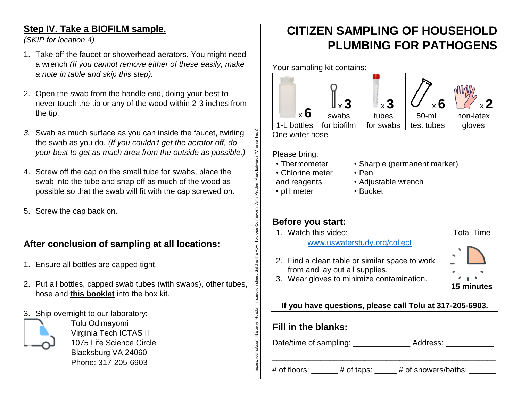### **Step IV. Take a BIOFILM sample.**

*(SKIP for location 4)*

- 1. Take off the faucet or showerhead aerators. You might need a wrench *(If you cannot remove either of these easily, make a note in table and skip this step).*
- 2. Open the swab from the handle end, doing your best to never touch the tip or any of the wood within 2-3 inches from the tip.
- *3.* Swab as much surface as you can inside the faucet, twirling the swab as you do. *(If you couldn't get the aerator off, do your best to get as much area from the outside as possible.)*
- 4. Screw off the cap on the small tube for swabs, place the swab into the tube and snap off as much of the wood as possible so that the swab will fit with the cap screwed on.
- 5. Screw the cap back on.

## **After conclusion of sampling at all locations:**

- 1. Ensure all bottles are capped tight.
- 2. Put all bottles, capped swab tubes (with swabs), other tubes, hose and **this booklet** into the box kit.
- 3. Ship overnight to our laboratory:



Tolu Odimayomi Virginia Tech ICTAS II 1075 Life Science Circle Blacksburg VA 24060 Phone: 317-205-6903

## **CITIZEN SAMPLING OF HOUSEHOLD PLUMBING FOR PATHOGENS**



Please bring:

- Thermometer
- Chlorine meter and reagents
- pH meter

Images: icons8.com, Nalgene, Huadu. | Instruction sheet: Siddhartha Roy, Tolulope Odimayomi, Amy Pruden, Marc Edwards (Virginia Tech)

Siddhartha

Nalgene, Huadu. | Instr

icons8.com,

Roy, Tolulope Odimayomi,

Edwards (Virgin

Pruden, Marc

- Sharpie (permanent marker)
- Pen
- Adjustable wrench
- Bucket

### **Before you start:**

1. Watch this video:

[www.uswaterstudy.org/collect](http://www.uswaterstudy.org/collect)

2. Find a clean table or similar space to work from and lay out all supplies.



3. Wear gloves to minimize contamination.

### **If you have questions, please call Tolu at 317-205-6903.**

### **Fill in the blanks:**

Date/time of sampling: \_\_\_\_\_\_\_\_\_\_\_\_\_\_\_\_\_\_ Address:

\_\_\_\_\_\_\_\_\_\_\_\_\_\_\_\_\_\_\_\_\_\_\_\_\_\_\_\_\_\_\_\_\_\_\_\_\_\_\_\_\_\_\_\_\_\_\_\_\_\_\_

# of floors:  $\#$  of taps:  $\#$  of showers/baths: